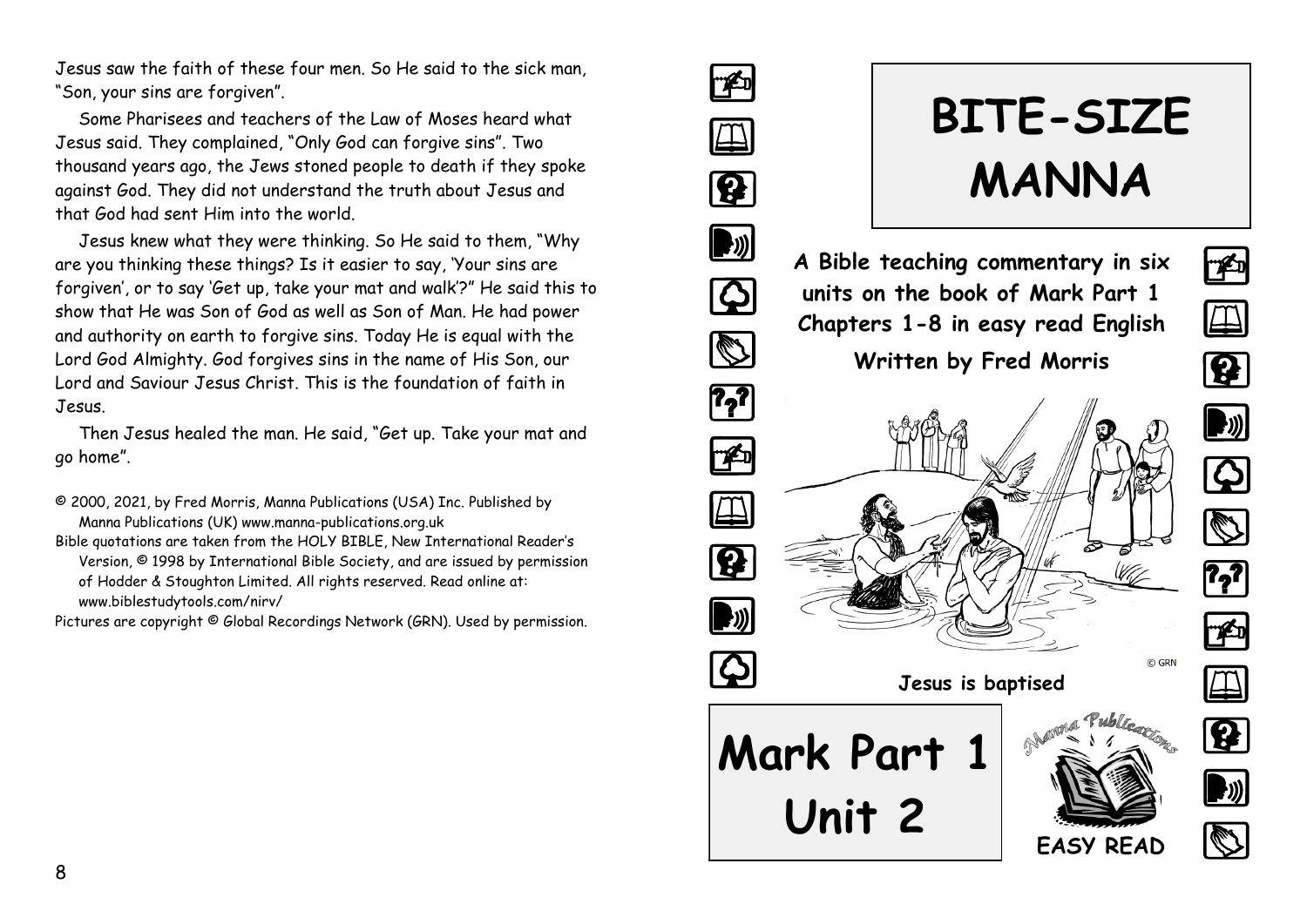Jesus saw the faith of these four men. So He said to the sick man, "Son, your sins are forgiven".

Some Pharisees and teachers of the Law of Moses heard what Jesus said. They complained, "Only God can forgive sins". Two thousand years ago, the Jews stoned people to death if they spoke against God. They did not understand the truth about Jesus and that God had sent Him into the world.

Jesus knew what they were thinking. So He said to them, "Why are you thinking these things? Is it easier to say, 'Your sins are forgiven', or to say 'Get up, take your mat and walk'?" He said this to show that He was Son of God as well as Son of Man. He had power and authority on earth to forgive sins. Today He is equal with the Lord God Almighty. God forgives sins in the name of His Son, our Lord and Saviour Jesus Christ. This is the foundation of faith in Jesus.

Then Jesus healed the man. He said, "Get up. Take your mat and go home".

- © 2000, 2021, by Fred Morris, Manna Publications (USA) Inc. Published by Manna Publications (UK) www.manna-publications.org.uk
- Bible quotations are taken from the HOLY BIBLE, New International Reader's Version, © 1998 by International Bible Society, and are issued by permission of Hodder & Stoughton Limited. All rights reserved. Read online at: www.biblestudytools.com/nirv/

Pictures are copyright © Global Recordings Network (GRN). Used by permission.



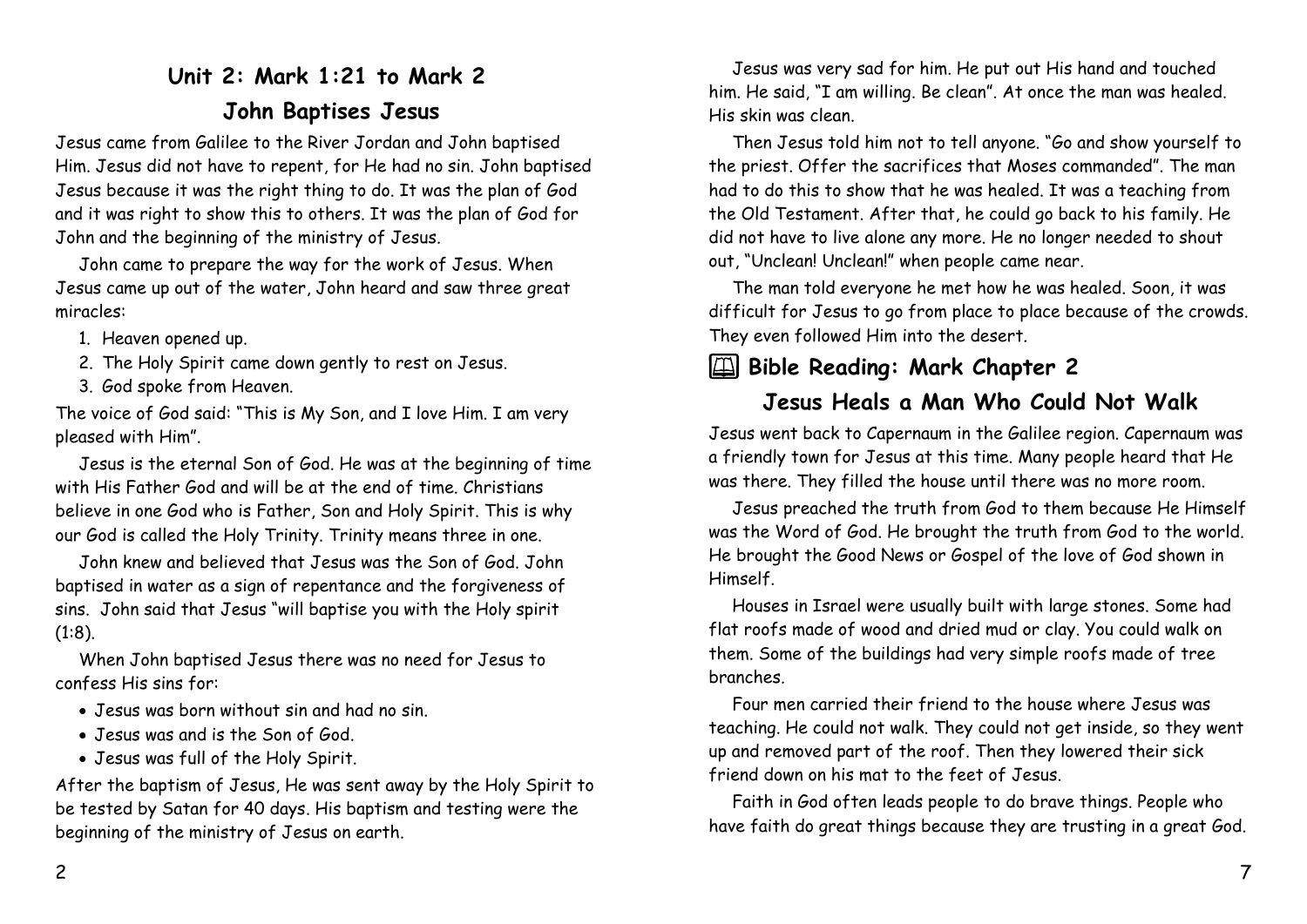# **Unit 2: Mark 1:21 to Mark 2 John Baptises Jesus**

Jesus came from Galilee to the River Jordan and John baptised Him. Jesus did not have to repent, for He had no sin. John baptised Jesus because it was the right thing to do. It was the plan of God and it was right to show this to others. It was the plan of God for John and the beginning of the ministry of Jesus.

John came to prepare the way for the work of Jesus. When Jesus came up out of the water, John heard and saw three great miracles:

- 1. Heaven opened up.
- 2. The Holy Spirit came down gently to rest on Jesus.
- 3. God spoke from Heaven.

The voice of God said: "This is My Son, and I love Him. I am very pleased with Him".

Jesus is the eternal Son of God. He was at the beginning of time with His Father God and will be at the end of time. Christians believe in one God who is Father, Son and Holy Spirit. This is why our God is called the Holy Trinity. Trinity means three in one.

John knew and believed that Jesus was the Son of God. John baptised in water as a sign of repentance and the forgiveness of sins. John said that Jesus "will baptise you with the Holy spirit (1:8).

When John baptised Jesus there was no need for Jesus to confess His sins for:

- Jesus was born without sin and had no sin.
- Jesus was and is the Son of God.
- Jesus was full of the Holy Spirit.

After the baptism of Jesus, He was sent away by the Holy Spirit to be tested by Satan for 40 days. His baptism and testing were the beginning of the ministry of Jesus on earth.

Jesus was very sad for him. He put out His hand and touched him. He said, "I am willing. Be clean". At once the man was healed. His skin was clean.

Then Jesus told him not to tell anyone. "Go and show yourself to the priest. Offer the sacrifices that Moses commanded". The man had to do this to show that he was healed. It was a teaching from the Old Testament. After that, he could go back to his family. He did not have to live alone any more. He no longer needed to shout out, "Unclean! Unclean!" when people came near.

The man told everyone he met how he was healed. Soon, it was difficult for Jesus to go from place to place because of the crowds. They even followed Him into the desert.

## 2 **Bible Reading: Mark Chapter 2**

### **Jesus Heals a Man Who Could Not Walk**

Jesus went back to Capernaum in the Galilee region. Capernaum was a friendly town for Jesus at this time. Many people heard that He was there. They filled the house until there was no more room.

Jesus preached the truth from God to them because He Himself was the Word of God. He brought the truth from God to the world. He brought the Good News or Gospel of the love of God shown in Himself.

Houses in Israel were usually built with large stones. Some had flat roofs made of wood and dried mud or clay. You could walk on them. Some of the buildings had very simple roofs made of tree branches.

Four men carried their friend to the house where Jesus was teaching. He could not walk. They could not get inside, so they went up and removed part of the roof. Then they lowered their sick friend down on his mat to the feet of Jesus.

Faith in God often leads people to do brave things. People who have faith do great things because they are trusting in a great God.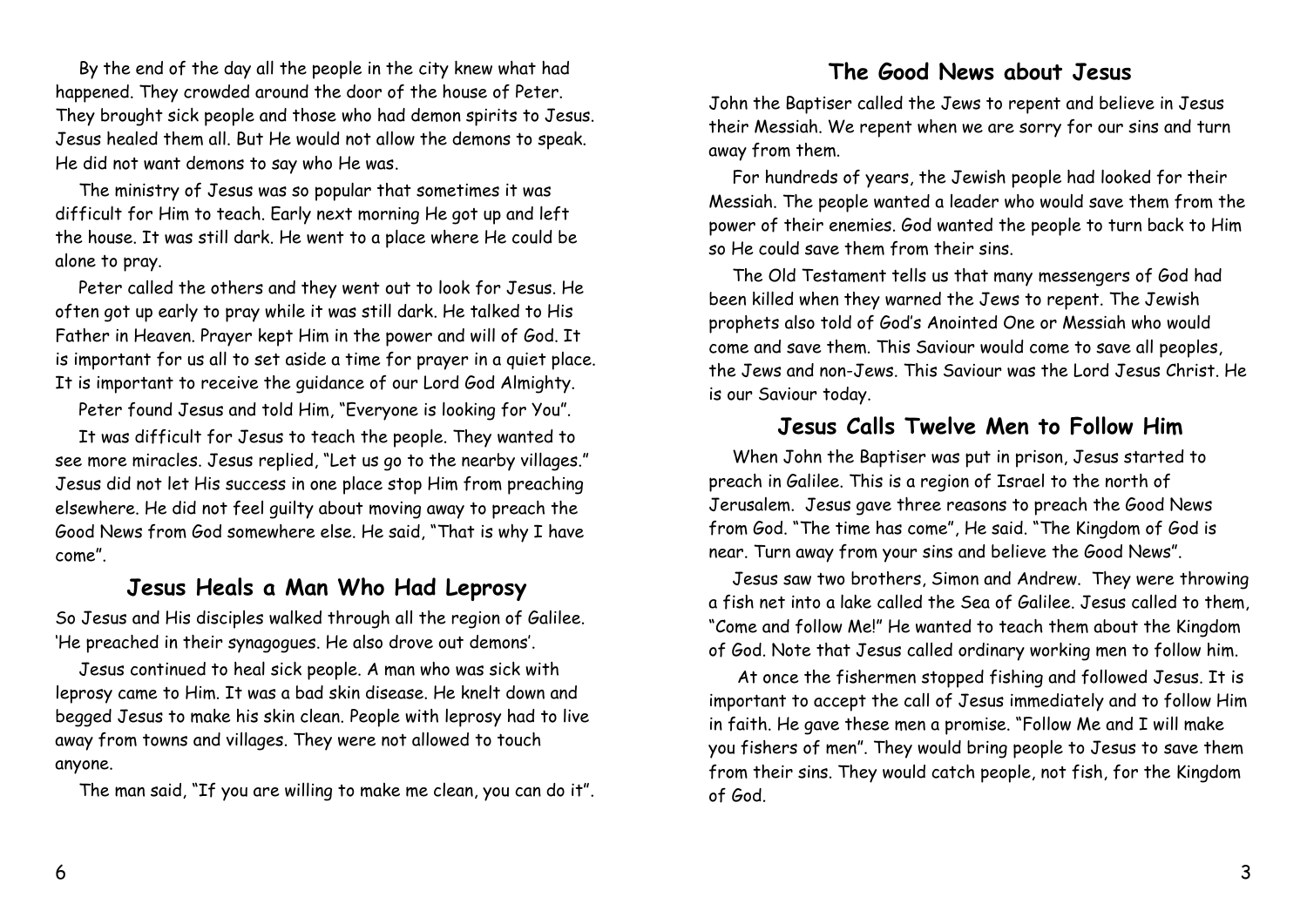By the end of the day all the people in the city knew what had happened. They crowded around the door of the house of Peter. They brought sick people and those who had demon spirits to Jesus. Jesus healed them all. But He would not allow the demons to speak. He did not want demons to say who He was.

The ministry of Jesus was so popular that sometimes it was difficult for Him to teach. Early next morning He got up and left the house. It was still dark. He went to a place where He could be alone to pray.

Peter called the others and they went out to look for Jesus. He often got up early to pray while it was still dark. He talked to His Father in Heaven. Prayer kept Him in the power and will of God. It is important for us all to set aside a time for prayer in a quiet place. It is important to receive the guidance of our Lord God Almighty.

Peter found Jesus and told Him, "Everyone is looking for You".

It was difficult for Jesus to teach the people. They wanted to see more miracles. Jesus replied, "Let us go to the nearby villages." Jesus did not let His success in one place stop Him from preaching elsewhere. He did not feel guilty about moving away to preach the Good News from God somewhere else. He said, "That is why I have come".

#### **Jesus Heals a Man Who Had Leprosy**

So Jesus and His disciples walked through all the region of Galilee. 'He preached in their synagogues. He also drove out demons'.

Jesus continued to heal sick people. A man who was sick with leprosy came to Him. It was a bad skin disease. He knelt down and begged Jesus to make his skin clean. People with leprosy had to live away from towns and villages. They were not allowed to touch anyone.

The man said, "If you are willing to make me clean, you can do it".

#### **The Good News about Jesus**

John the Baptiser called the Jews to repent and believe in Jesus their Messiah. We repent when we are sorry for our sins and turn away from them.

For hundreds of years, the Jewish people had looked for their Messiah. The people wanted a leader who would save them from the power of their enemies. God wanted the people to turn back to Him so He could save them from their sins.

The Old Testament tells us that many messengers of God had been killed when they warned the Jews to repent. The Jewish prophets also told of God's Anointed One or Messiah who would come and save them. This Saviour would come to save all peoples, the Jews and non-Jews. This Saviour was the Lord Jesus Christ. He is our Saviour today.

#### **Jesus Calls Twelve Men to Follow Him**

When John the Baptiser was put in prison, Jesus started to preach in Galilee. This is a region of Israel to the north of Jerusalem. Jesus gave three reasons to preach the Good News from God. "The time has come", He said. "The Kingdom of God is near. Turn away from your sins and believe the Good News".

Jesus saw two brothers, Simon and Andrew. They were throwing a fish net into a lake called the Sea of Galilee. Jesus called to them, "Come and follow Me!" He wanted to teach them about the Kingdom of God. Note that Jesus called ordinary working men to follow him.

At once the fishermen stopped fishing and followed Jesus. It is important to accept the call of Jesus immediately and to follow Him in faith. He gave these men a promise. "Follow Me and I will make you fishers of men". They would bring people to Jesus to save them from their sins. They would catch people, not fish, for the Kingdom of God.